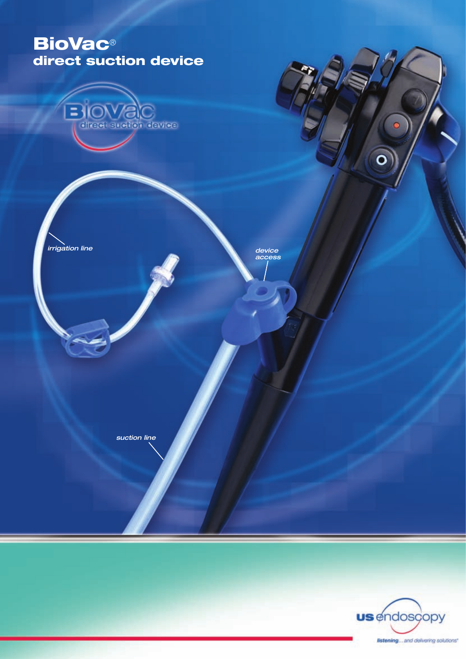